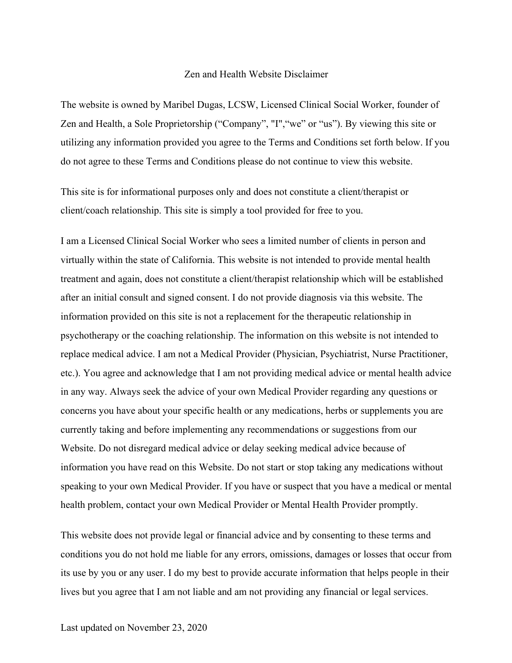## Zen and Health Website Disclaimer

The website is owned by Maribel Dugas, LCSW, Licensed Clinical Social Worker, founder of Zen and Health, a Sole Proprietorship ("Company", "I", "we" or "us"). By viewing this site or utilizing any information provided you agree to the Terms and Conditions set forth below. If you do not agree to these Terms and Conditions please do not continue to view this website.

This site is for informational purposes only and does not constitute a client/therapist or client/coach relationship. This site is simply a tool provided for free to you.

I am a Licensed Clinical Social Worker who sees a limited number of clients in person and virtually within the state of California. This website is not intended to provide mental health treatment and again, does not constitute a client/therapist relationship which will be established after an initial consult and signed consent. I do not provide diagnosis via this website. The information provided on this site is not a replacement for the therapeutic relationship in psychotherapy or the coaching relationship. The information on this website is not intended to replace medical advice. I am not a Medical Provider (Physician, Psychiatrist, Nurse Practitioner, etc.). You agree and acknowledge that I am not providing medical advice or mental health advice in any way. Always seek the advice of your own Medical Provider regarding any questions or concerns you have about your specific health or any medications, herbs or supplements you are currently taking and before implementing any recommendations or suggestions from our Website. Do not disregard medical advice or delay seeking medical advice because of information you have read on this Website. Do not start or stop taking any medications without speaking to your own Medical Provider. If you have or suspect that you have a medical or mental health problem, contact your own Medical Provider or Mental Health Provider promptly.

This website does not provide legal or financial advice and by consenting to these terms and conditions you do not hold me liable for any errors, omissions, damages or losses that occur from its use by you or any user. I do my best to provide accurate information that helps people in their lives but you agree that I am not liable and am not providing any financial or legal services.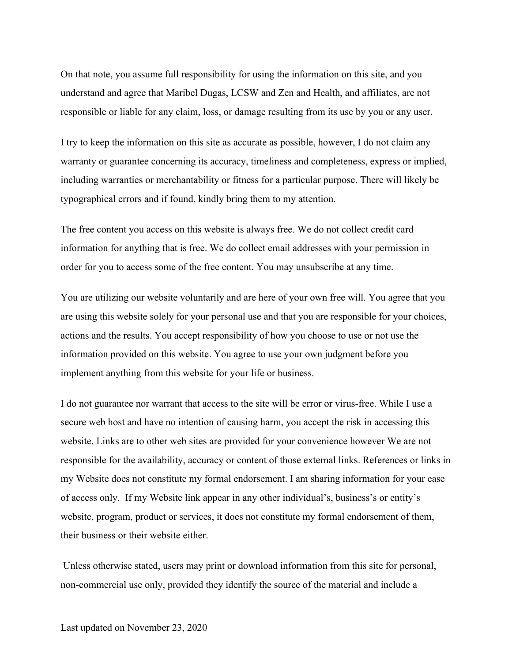On that note, you assume full responsibility for using the information on this site, and you understand and agree that Maribel Dugas, LCSW and Zen and Health, and affiliates, are not responsible or liable for any claim, loss, or damage resulting from its use by you or any user.

I try to keep the information on this site as accurate as possible, however, I do not claim any warranty or guarantee concerning its accuracy, timeliness and completeness, express or implied, including warranties or merchantability or fitness for a particular purpose. There will likely be typographical errors and if found, kindly bring them to my attention.

The free content you access on this website is always free. We do not collect credit card information for anything that is free. We do collect email addresses with your permission in order for you to access some of the free content. You may unsubscribe at any time.

You are utilizing our website voluntarily and are here of your own free will. You agree that you are using this website solely for your personal use and that you are responsible for your choices, actions and the results. You accept responsibility of how you choose to use or not use the information provided on this website. You agree to use your own judgment before you implement anything from this website for your life or business.

I do not guarantee nor warrant that access to the site will be error or virus-free. While I use a secure web host and have no intention of causing harm, you accept the risk in accessing this website. Links are to other web sites are provided for your convenience however We are not responsible for the availability, accuracy or content of those external links. References or links in my Website does not constitute my formal endorsement. I am sharing information for your ease of access only. If my Website link appear in any other individual's, business's or entity's website, program, product or services, it does not constitute my formal endorsement of them, their business or their website either.

Unless otherwise stated, users may print or download information from this site for personal, non-commercial use only, provided they identify the source of the material and include a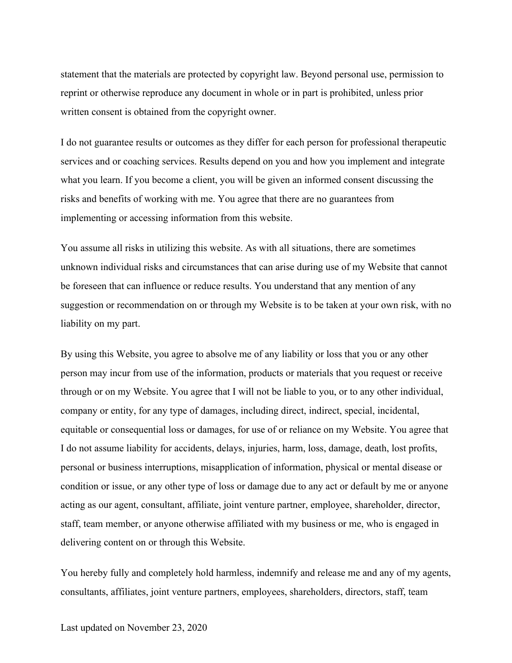statement that the materials are protected by copyright law. Beyond personal use, permission to reprint or otherwise reproduce any document in whole or in part is prohibited, unless prior written consent is obtained from the copyright owner.

I do not guarantee results or outcomes as they differ for each person for professional therapeutic services and or coaching services. Results depend on you and how you implement and integrate what you learn. If you become a client, you will be given an informed consent discussing the risks and benefits of working with me. You agree that there are no guarantees from implementing or accessing information from this website.

You assume all risks in utilizing this website. As with all situations, there are sometimes unknown individual risks and circumstances that can arise during use of my Website that cannot be foreseen that can influence or reduce results. You understand that any mention of any suggestion or recommendation on or through my Website is to be taken at your own risk, with no liability on my part.

By using this Website, you agree to absolve me of any liability or loss that you or any other person may incur from use of the information, products or materials that you request or receive through or on my Website. You agree that I will not be liable to you, or to any other individual, company or entity, for any type of damages, including direct, indirect, special, incidental, equitable or consequential loss or damages, for use of or reliance on my Website. You agree that I do not assume liability for accidents, delays, injuries, harm, loss, damage, death, lost profits, personal or business interruptions, misapplication of information, physical or mental disease or condition or issue, or any other type of loss or damage due to any act or default by me or anyone acting as our agent, consultant, affiliate, joint venture partner, employee, shareholder, director, staff, team member, or anyone otherwise affiliated with my business or me, who is engaged in delivering content on or through this Website.

You hereby fully and completely hold harmless, indemnify and release me and any of my agents, consultants, affiliates, joint venture partners, employees, shareholders, directors, staff, team